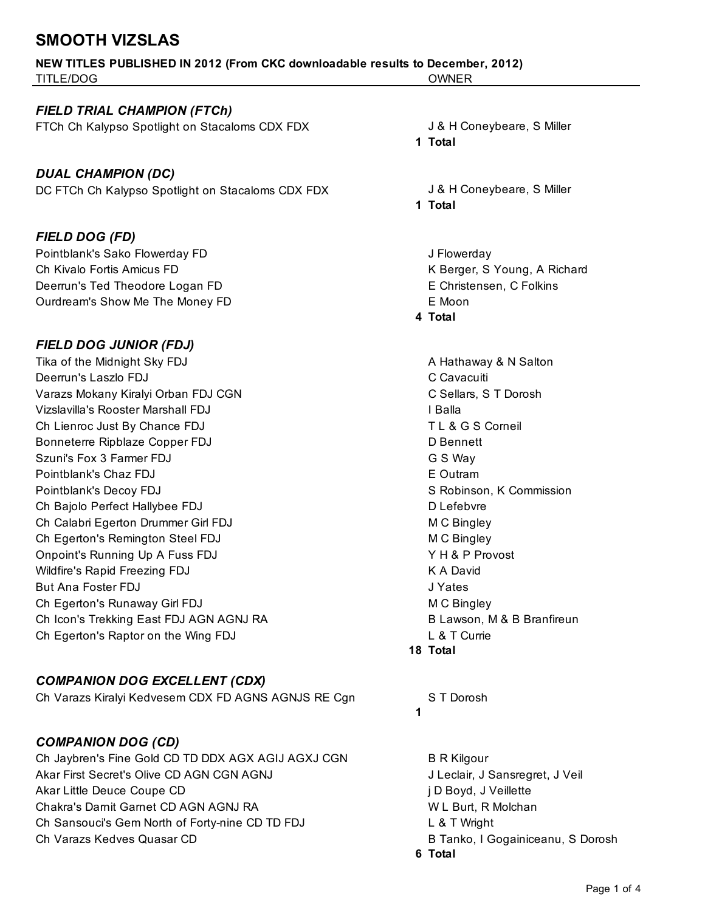## **SMOOTH VIZSLAS**

|                           | <b>NEW TITLES PUBLISHED IN 2012 (From CKC downloadable results to December, 2012)</b> |
|---------------------------|---------------------------------------------------------------------------------------|
| TITLE/DOG<br><b>OWNER</b> |                                                                                       |

#### *FIELD TRIAL CHAMPION (FTCh)*

FTCh Ch Kalypso Spotlight on Stacaloms CDX FDX J& H Coneybeare, S Miller

*DUAL CHAMPION (DC)* DC FTCh Ch Kalypso Spotlight on Stacaloms CDX FDX J& H Coneybeare, S Miller

#### *FIELD DOG (FD)*

Pointblank's Sako Flowerday FD **Fig. 2018** J Flowerday Annual Methods of the Sako Flowerday Ch Kivalo Fortis Amicus FD **K** Berger, S Young, A Richard Deerrun's Ted Theodore Logan FD **E** Christensen, C Folkins Ourdream's Show Me The Money FD **EXALL** 

#### *FIELD DOG JUNIOR (FDJ)*

Tika of the Midnight Sky FDJ **A Hathaway & N** Salton Deerrun's Laszlo FDJ C Cavacuiti Varazs Mokany Kiralyi Orban FDJ CGN C Sellars, S T Dorosh Vizslavilla's Rooster Marshall FDJ **I Balla** Ch Lienroc Just By Chance FDJ **TL & G S Corneil** Bonneterre Ripblaze Copper FDJ D Bennett Szuni's Fox 3 Farmer FDJ G S Way Pointblank's Chaz FDJ **Example 2018** Contram **Example 2018** Contram **EXAMPLE CONTRAM** Pointblank's Decoy FDJ **S** Robinson, K Commission Ch Bajolo Perfect Hallybee FDJ D Lefebvre Ch Calabri Egerton Drummer Girl FDJ M C Bingley Ch Egerton's Remington Steel FDJ M C Bingley Onpoint's Running Up A Fuss FDJ Y H & P Provost Wildfire's Rapid Freezing FDJ **K A David** K A David But Ana Foster FDJ J Yates Ch Egerton's Runaway Girl FDJ M C Bingley Ch Icon's Trekking East FDJ AGN AGNJ RA B Lawson, M & B Branfireun Ch Egerton's Raptor on the Wing FDJ L & T Currie

#### *COMPANION DOG EXCELLENT (CDX)*

Ch Varazs Kiralyi Kedvesem CDX FD AGNS AGNJS RE Cgn ST Dorosh

#### *COMPANION DOG (CD)*

Ch Jaybren's Fine Gold CD TD DDX AGX AGIJ AGXJ CGN B R Kilgour Akar First Secret's Olive CD AGN CGN AGNJ **Jeclair**, J Sansregret, J Veil Akar Little Deuce Coupe CD in the settle state of the settle state of the settle state of the settle state of the settle state of the settle state of the settle state of the settle state of the settle state of the settle s Chakra's Darnit Garnet CD AGN AGNJ RA WEL Burt, R Molchan Ch Sansouci's Gem North of Forty-nine CD TD FDJ L & T Wright Ch Varazs Kedves Quasar CD **B Tanko, I Gogainiceanu, S Dorosh** 

**1 Total**

**1 Total**

**4 Total**

**18 Total**

#### **1**

**6 Total**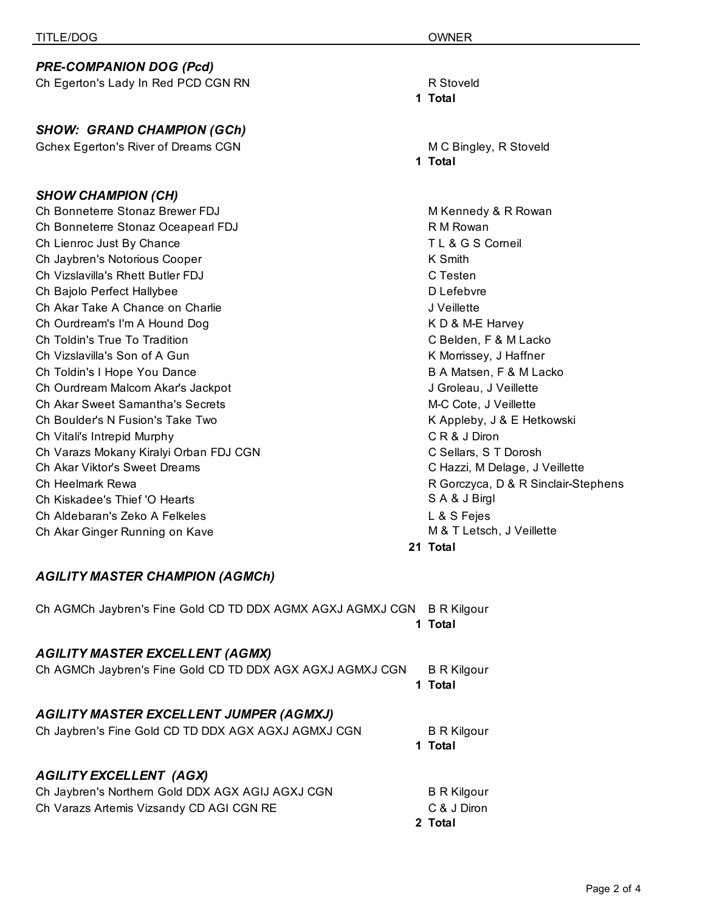| <b>PRE-COMPANION DOG (Pcd)</b>             |                      |
|--------------------------------------------|----------------------|
| Ch Egerton's Lady In Red PCD CGN RN        | R Stoveld            |
|                                            | 1 Total              |
|                                            |                      |
| <b>SHOW: GRAND CHAMPION (GCh)</b>          |                      |
| <b>Gchex Egerton's River of Dreams CGN</b> | M C Bingl<br>1 Total |
|                                            |                      |
| <b>SHOW CHAMPION (CH)</b>                  |                      |
| Ch Bonneterre Stonaz Brewer FDJ            | M Kenned             |
| Ch Bonneterre Stonaz Oceapearl FDJ         | R M Rowa             |
| Ch Lienroc Just By Chance                  | <b>TL&amp;GS</b>     |
| Ch Jaybren's Notorious Cooper              | K Smith              |
| Ch Vizslavilla's Rhett Butler FDJ          | C Testen             |
| Ch Bajolo Perfect Hallybee                 | D Lefebvr            |
| Ch Akar Take A Chance on Charlie           | J Veillette          |
| Ch Ourdream's I'm A Hound Dog              | <b>KD&amp;M-E</b>    |
| Ch Toldin's True To Tradition              | C Belden.            |
| Ch Vizslavilla's Son of A Gun              | K Morrisse           |
| Ch Toldin's I Hope You Dance               | <b>B A Matse</b>     |
| Ch Ourdream Malcom Akar's Jackpot          | J Groleau            |
| Ch Akar Sweet Samantha's Secrets           | M-C Cote.            |
| Ch Boulder's N Fusion's Take Two           | K Appleb             |
| Ch Vitali's Intrepid Murphy                | CR&JD                |
| Ch Varazs Mokany Kiralyi Orban FDJ CGN     | C Sellars,           |
| Ch Akar Viktor's Sweet Dreams              | C Hazzi, N           |
| Ch Heelmark Rewa                           | R Gorczyo            |
| Ch Kiskadee's Thief 'O Hearts              | SA&JB                |
| Ch Aldebaran's Zeko A Felkeles             | L & S Fej            |
| Ch Akar Ginger Running on Kave             | M & T Let            |
|                                            | 21 Total             |

M C Bingley, R Stoveld **1 Total**

M Kennedy & R Rowan R M Rowan TL & G S Corneil D Lefebvre K D & M-E Harvey C Belden, F & M Lacko K Morrissey, J Haffner B A Matsen, F & M Lacko J Groleau, J Veillette M-C Cote, J Veillette K Appleby, J & E Hetkowski CR & J Diron C Sellars, S T Dorosh C Hazzi, M Delage, J Veillette R Gorczyca, D & R Sinclair-Stephens SA & J Birgl L & S Fejes M & T Letsch, J Veillette **21 Total**

#### *AGILITY MASTER CHAMPION (AGMCh)*

Ch AGMCh Jaybren's Fine Gold CD TD DDX AGMX AGXJ AGMXJ CGN B R Kilgour **1 Total** *AGILITY MASTER EXCELLENT (AGMX)* Ch AGMCh Jaybren's Fine Gold CD TD DDX AGX AGXJ AGMXJ CGN B R Kilgour **1 Total** *AGILITY MASTER EXCELLENT JUMPER (AGMXJ)* Ch Jaybren's Fine Gold CD TD DDX AGX AGXJ AGMXJ CGN B R Kilgour **1 Total** *AGILITY EXCELLENT (AGX)*

|                                                  | 2 Total            |
|--------------------------------------------------|--------------------|
| Ch Varazs Artemis Vizsandy CD AGI CGN RE         | C & J Diron        |
| Ch Jaybren's Northern Gold DDX AGX AGIJ AGXJ CGN | <b>B</b> R Kilgour |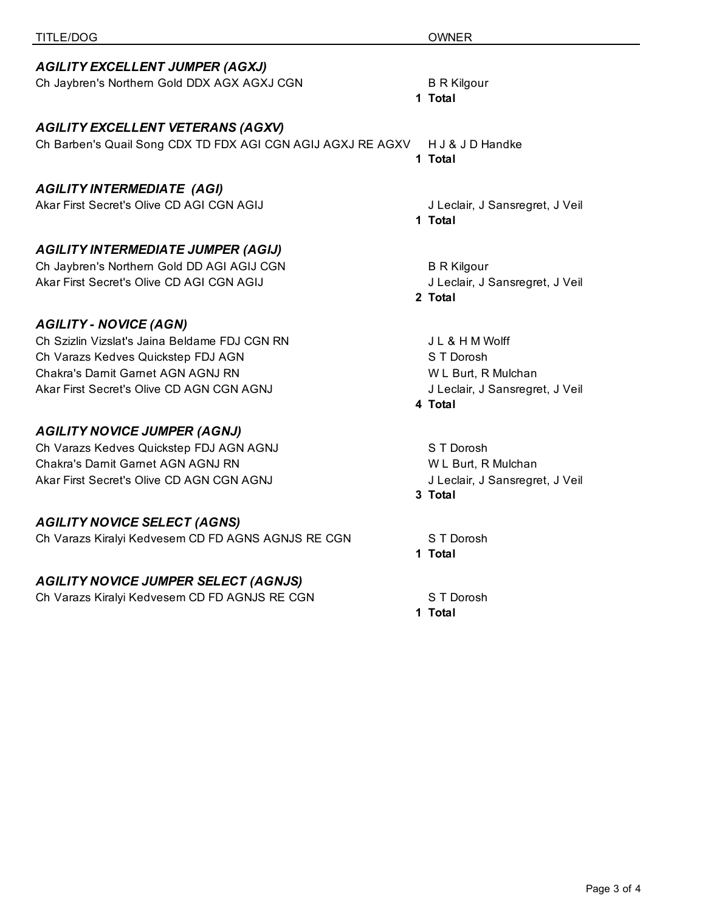### *AGILITY EXCELLENT JUMPER (AGXJ)*

| Ch Jaybren's Northern Gold DDX AGX AGXJ CGN |  |
|---------------------------------------------|--|
|                                             |  |

### *AGILITY EXCELLENT VETERANS (AGXV)*

# Ch Barben's Quail Song CDX TD FDX AGI CGN AGIJ AGXJ RE AGXV H J & J D Handke

## *AGILITY INTERMEDIATE (AGI)*

Akar First Secret's Olive CD AGI CGN AGIJ **Sanstally and Accept Accept** J Leclair, J Sansregret, J Veil

## *AGILITY INTERMEDIATE JUMPER (AGIJ)*

Ch Jaybren's Northern Gold DD AGI AGIJ CGN B R Kilgour Akar First Secret's Olive CD AGI CGN AGIJ **Secret's Olive CO AGI CGN AGIJ** J Leclair, J Sansregret, J Veil

## *AGILITY - NOVICE (AGN)*

Ch Szizlin Vizslat's Jaina Beldame FDJ CGN RN GN November 1988 A J L & H M Wolff Ch Varazs Kedves Quickstep FDJ AGN S TO ST Dorosh Chakra's Darnit Garnet AGN AGNJ RN W L Burt, R Mulchan Akar First Secret's Olive CD AGN CGN AGNJ **Jeclair**, J Sansregret, J Veil

## *AGILITY NOVICE JUMPER (AGNJ)*

Ch Varazs Kedves Quickstep FDJ AGN AGNJ ST Dorosh Chakra's Darnit Garnet AGN AGNJ RN W L Burt, R Mulchan Akar First Secret's Olive CD AGN CGN AGNJ **Jeclair**, J Sansregret, J Veil

## *AGILITY NOVICE SELECT (AGNS)*

Ch Varazs Kiralyi Kedvesem CD FD AGNS AGNJS RE CGN ST Dorosh

## *AGILITY NOVICE JUMPER SELECT (AGNJS)*

Ch Varazs Kiralyi Kedvesem CD FD AGNJS RE CGN ST Dorosh

B R Kilgour

## **1 Total**

**1 Total**

**1 Total**

**2 Total**

**4 Total**

**3 Total**

**1 Total**

**1 Total**